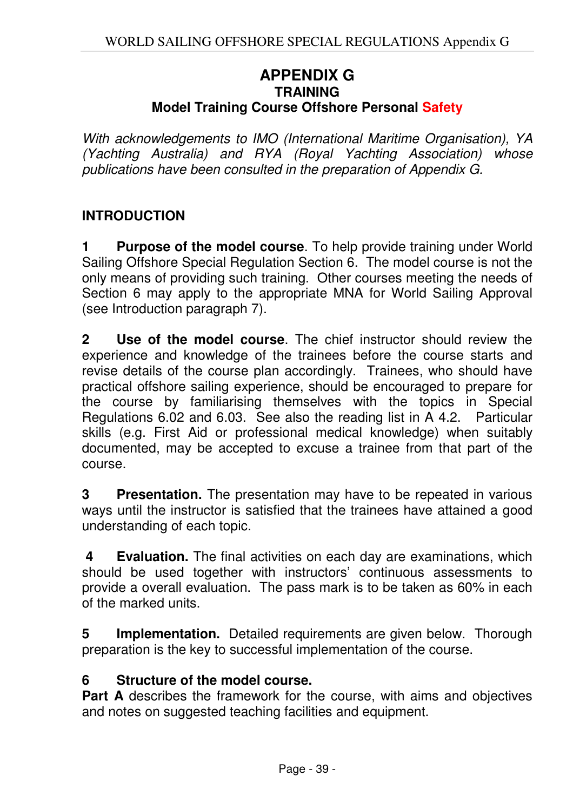### **APPENDIX G TRAINING Model Training Course Offshore Personal Safety**

With acknowledgements to IMO (International Maritime Organisation), YA (Yachting Australia) and RYA (Royal Yachting Association) whose publications have been consulted in the preparation of Appendix G.

# **INTRODUCTION**

**1** Purpose of the model course. To help provide training under World Sailing Offshore Special Regulation Section 6. The model course is not the only means of providing such training. Other courses meeting the needs of Section 6 may apply to the appropriate MNA for World Sailing Approval (see Introduction paragraph 7).

**2 Use of the model course**. The chief instructor should review the experience and knowledge of the trainees before the course starts and revise details of the course plan accordingly. Trainees, who should have practical offshore sailing experience, should be encouraged to prepare for the course by familiarising themselves with the topics in Special Regulations 6.02 and 6.03. See also the reading list in A 4.2. Particular skills (e.g. First Aid or professional medical knowledge) when suitably documented, may be accepted to excuse a trainee from that part of the course.

**3 Presentation.** The presentation may have to be repeated in various ways until the instructor is satisfied that the trainees have attained a good understanding of each topic.

 **4 Evaluation.** The final activities on each day are examinations, which should be used together with instructors' continuous assessments to provide a overall evaluation. The pass mark is to be taken as 60% in each of the marked units.

**5 Implementation.** Detailed requirements are given below. Thorough preparation is the key to successful implementation of the course.

#### **6 Structure of the model course.**

**Part A** describes the framework for the course, with aims and objectives and notes on suggested teaching facilities and equipment.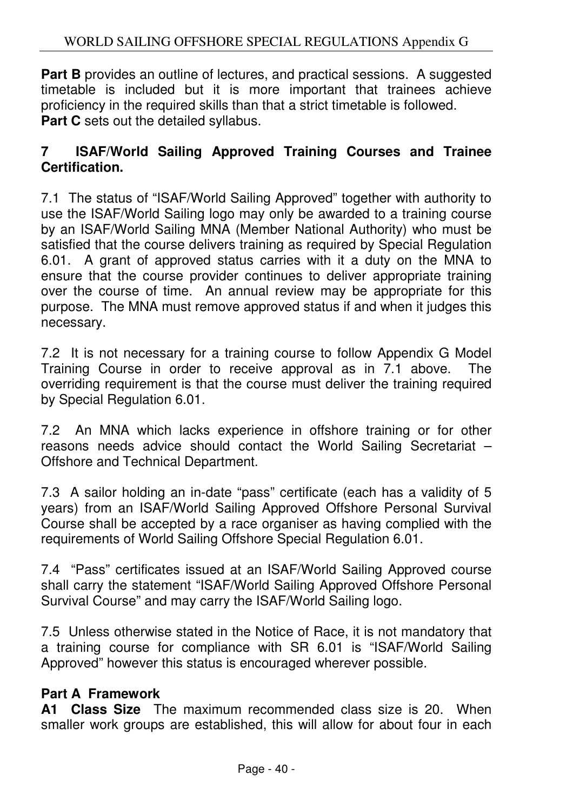**Part B** provides an outline of lectures, and practical sessions. A suggested timetable is included but it is more important that trainees achieve proficiency in the required skills than that a strict timetable is followed. **Part C** sets out the detailed syllabus.

### **7 ISAF/World Sailing Approved Training Courses and Trainee Certification.**

7.1The status of "ISAF/World Sailing Approved" together with authority to use the ISAF/World Sailing logo may only be awarded to a training course by an ISAF/World Sailing MNA (Member National Authority) who must be satisfied that the course delivers training as required by Special Regulation 6.01. A grant of approved status carries with it a duty on the MNA to ensure that the course provider continues to deliver appropriate training over the course of time. An annual review may be appropriate for this purpose. The MNA must remove approved status if and when it judges this necessary.

7.2 It is not necessary for a training course to follow Appendix G Model Training Course in order to receive approval as in 7.1 above. The overriding requirement is that the course must deliver the training required by Special Regulation 6.01.

7.2 An MNA which lacks experience in offshore training or for other reasons needs advice should contact the World Sailing Secretariat – Offshore and Technical Department.

7.3 A sailor holding an in-date "pass" certificate (each has a validity of 5 years) from an ISAF/World Sailing Approved Offshore Personal Survival Course shall be accepted by a race organiser as having complied with the requirements of World Sailing Offshore Special Regulation 6.01.

7.4 "Pass" certificates issued at an ISAF/World Sailing Approved course shall carry the statement "ISAF/World Sailing Approved Offshore Personal Survival Course" and may carry the ISAF/World Sailing logo.

7.5 Unless otherwise stated in the Notice of Race, it is not mandatory that a training course for compliance with SR 6.01 is "ISAF/World Sailing Approved" however this status is encouraged wherever possible.

### **Part A Framework**

**A1 Class Size** The maximum recommended class size is 20. When smaller work groups are established, this will allow for about four in each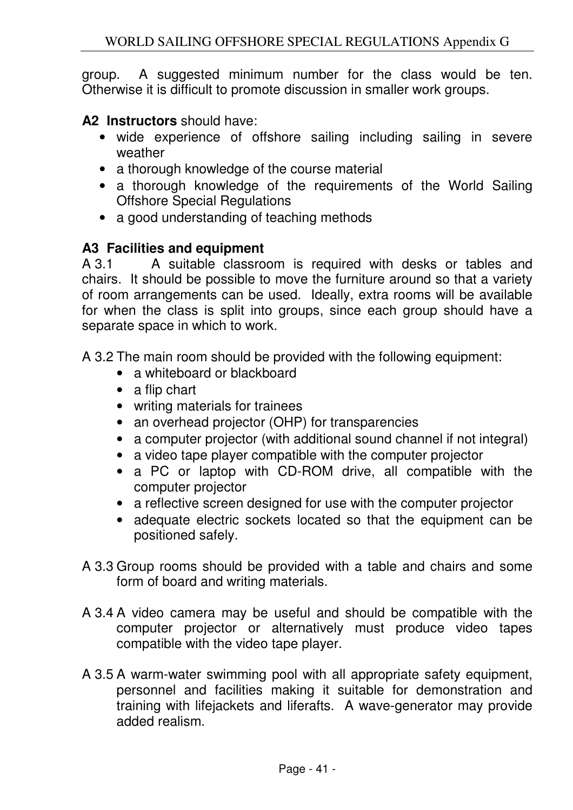group. A suggested minimum number for the class would be ten. Otherwise it is difficult to promote discussion in smaller work groups.

**A2 Instructors** should have:

- wide experience of offshore sailing including sailing in severe weather
- a thorough knowledge of the course material
- a thorough knowledge of the requirements of the World Sailing Offshore Special Regulations
- a good understanding of teaching methods

# **A3 Facilities and equipment**

A 3.1 A suitable classroom is required with desks or tables and chairs. It should be possible to move the furniture around so that a variety of room arrangements can be used. Ideally, extra rooms will be available for when the class is split into groups, since each group should have a separate space in which to work.

A 3.2 The main room should be provided with the following equipment:

- a whiteboard or blackboard
- a flip chart
- writing materials for trainees
- an overhead projector (OHP) for transparencies
- a computer projector (with additional sound channel if not integral)
- a video tape player compatible with the computer projector
- a PC or laptop with CD-ROM drive, all compatible with the computer projector
- a reflective screen designed for use with the computer projector
- adequate electric sockets located so that the equipment can be positioned safely.
- A 3.3 Group rooms should be provided with a table and chairs and some form of board and writing materials.
- A 3.4 A video camera may be useful and should be compatible with the computer projector or alternatively must produce video tapes compatible with the video tape player.
- A 3.5 A warm-water swimming pool with all appropriate safety equipment, personnel and facilities making it suitable for demonstration and training with lifejackets and liferafts. A wave-generator may provide added realism.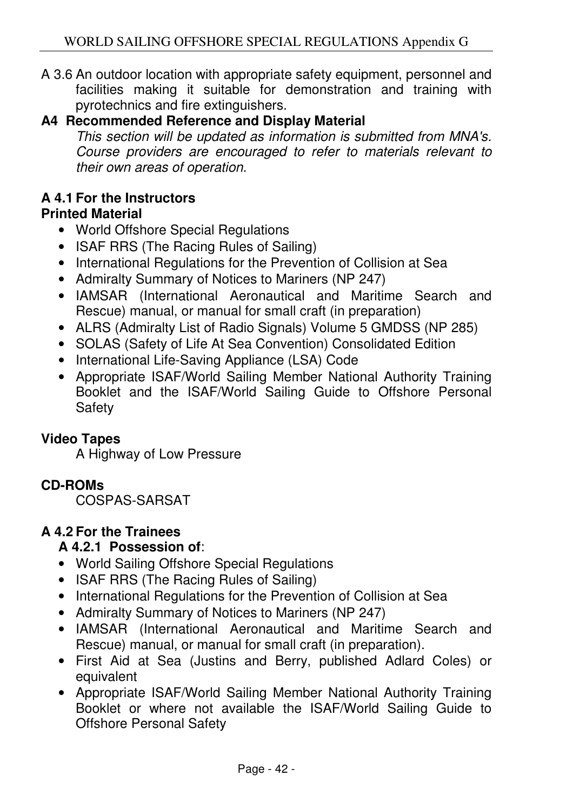A 3.6 An outdoor location with appropriate safety equipment, personnel and facilities making it suitable for demonstration and training with pyrotechnics and fire extinguishers.

# **A4 Recommended Reference and Display Material**

This section will be updated as information is submitted from MNA's. Course providers are encouraged to refer to materials relevant to their own areas of operation.

#### **A 4.1 For the Instructors Printed Material**

- World Offshore Special Regulations
- ISAF RRS (The Racing Rules of Sailing)
- International Regulations for the Prevention of Collision at Sea
- Admiralty Summary of Notices to Mariners (NP 247)
- IAMSAR (International Aeronautical and Maritime Search and Rescue) manual, or manual for small craft (in preparation)
- ALRS (Admiralty List of Radio Signals) Volume 5 GMDSS (NP 285)
- SOLAS (Safety of Life At Sea Convention) Consolidated Edition
- International Life-Saving Appliance (LSA) Code
- Appropriate ISAF/World Sailing Member National Authority Training Booklet and the ISAF/World Sailing Guide to Offshore Personal Safety

### **Video Tapes**

A Highway of Low Pressure

# **CD-ROMs**

COSPAS-SARSAT

# **A 4.2 For the Trainees**

### **A 4.2.1 Possession of**:

- World Sailing Offshore Special Regulations
- ISAF RRS (The Racing Rules of Sailing)
- International Regulations for the Prevention of Collision at Sea
- Admiralty Summary of Notices to Mariners (NP 247)
- IAMSAR (International Aeronautical and Maritime Search and Rescue) manual, or manual for small craft (in preparation).
- First Aid at Sea (Justins and Berry, published Adlard Coles) or equivalent
- Appropriate ISAF/World Sailing Member National Authority Training Booklet or where not available the ISAF/World Sailing Guide to Offshore Personal Safety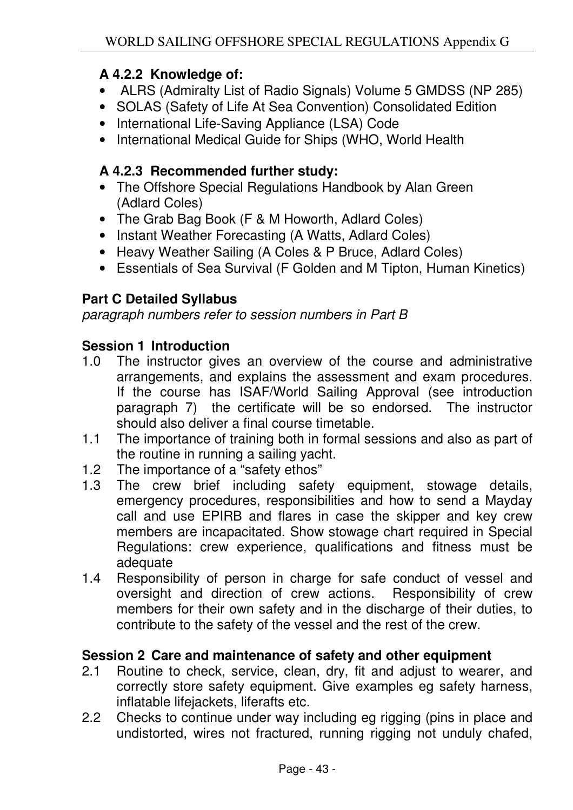### **A 4.2.2 Knowledge of:**

- ALRS (Admiralty List of Radio Signals) Volume 5 GMDSS (NP 285)
- SOLAS (Safety of Life At Sea Convention) Consolidated Edition
- International Life-Saving Appliance (LSA) Code
- International Medical Guide for Ships (WHO, World Health

### **A 4.2.3 Recommended further study:**

- The Offshore Special Regulations Handbook by Alan Green (Adlard Coles)
- The Grab Bag Book (F & M Howorth, Adlard Coles)
- Instant Weather Forecasting (A Watts, Adlard Coles)
- Heavy Weather Sailing (A Coles & P Bruce, Adlard Coles)
- Essentials of Sea Survival (F Golden and M Tipton, Human Kinetics)

# **Part C Detailed Syllabus**

paragraph numbers refer to session numbers in Part B

### **Session 1 Introduction**

- 1.0 The instructor gives an overview of the course and administrative arrangements, and explains the assessment and exam procedures. If the course has ISAF/World Sailing Approval (see introduction paragraph 7) the certificate will be so endorsed. The instructor should also deliver a final course timetable.
- 1.1 The importance of training both in formal sessions and also as part of the routine in running a sailing yacht.
- 1.2 The importance of a "safety ethos"
- 1.3 The crew brief including safety equipment, stowage details, emergency procedures, responsibilities and how to send a Mayday call and use EPIRB and flares in case the skipper and key crew members are incapacitated. Show stowage chart required in Special Regulations: crew experience, qualifications and fitness must be adequate
- 1.4 Responsibility of person in charge for safe conduct of vessel and oversight and direction of crew actions. Responsibility of crew members for their own safety and in the discharge of their duties, to contribute to the safety of the vessel and the rest of the crew.

#### **Session 2 Care and maintenance of safety and other equipment**

- 2.1 Routine to check, service, clean, dry, fit and adjust to wearer, and correctly store safety equipment. Give examples eg safety harness, inflatable lifejackets, liferafts etc.
- 2.2 Checks to continue under way including eg rigging (pins in place and undistorted, wires not fractured, running rigging not unduly chafed,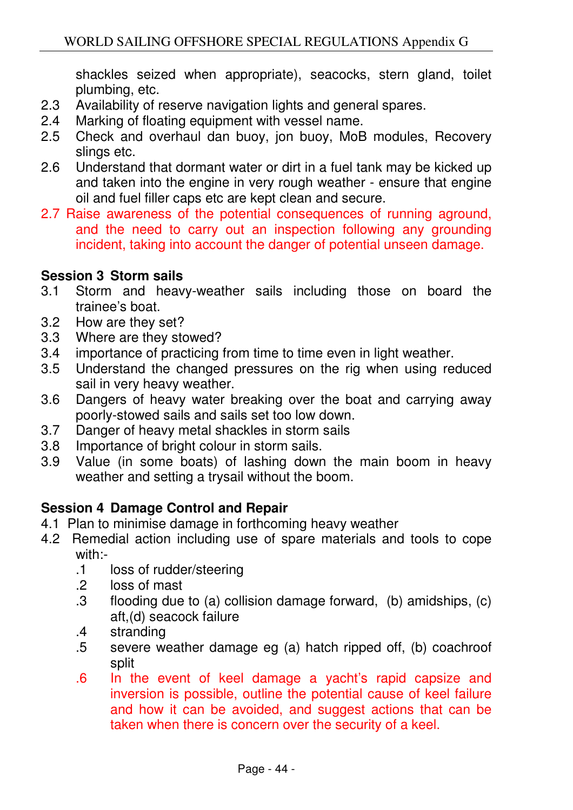shackles seized when appropriate), seacocks, stern gland, toilet plumbing, etc.

- 2.3 Availability of reserve navigation lights and general spares.
- 2.4 Marking of floating equipment with vessel name.
- 2.5 Check and overhaul dan buoy, jon buoy, MoB modules, Recovery slings etc.
- 2.6 Understand that dormant water or dirt in a fuel tank may be kicked up and taken into the engine in very rough weather - ensure that engine oil and fuel filler caps etc are kept clean and secure.
- 2.7 Raise awareness of the potential consequences of running aground, and the need to carry out an inspection following any grounding incident, taking into account the danger of potential unseen damage.

### **Session 3 Storm sails**

- 3.1 Storm and heavy-weather sails including those on board the trainee's boat.
- 3.2 How are they set?
- 3.3 Where are they stowed?
- 3.4 importance of practicing from time to time even in light weather.
- 3.5 Understand the changed pressures on the rig when using reduced sail in very heavy weather.
- 3.6 Dangers of heavy water breaking over the boat and carrying away poorly-stowed sails and sails set too low down.
- 3.7 Danger of heavy metal shackles in storm sails
- 3.8 Importance of bright colour in storm sails.
- 3.9 Value (in some boats) of lashing down the main boom in heavy weather and setting a trysail without the boom.

### **Session 4 Damage Control and Repair**

- 4.1 Plan to minimise damage in forthcoming heavy weather
- 4.2 Remedial action including use of spare materials and tools to cope with:-
	- .1 loss of rudder/steering
	- .2 loss of mast
	- .3 flooding due to (a) collision damage forward, (b) amidships, (c) aft,(d) seacock failure
	- .4 stranding
	- .5 severe weather damage eg (a) hatch ripped off, (b) coachroof split
	- .6 In the event of keel damage a yacht's rapid capsize and inversion is possible, outline the potential cause of keel failure and how it can be avoided, and suggest actions that can be taken when there is concern over the security of a keel.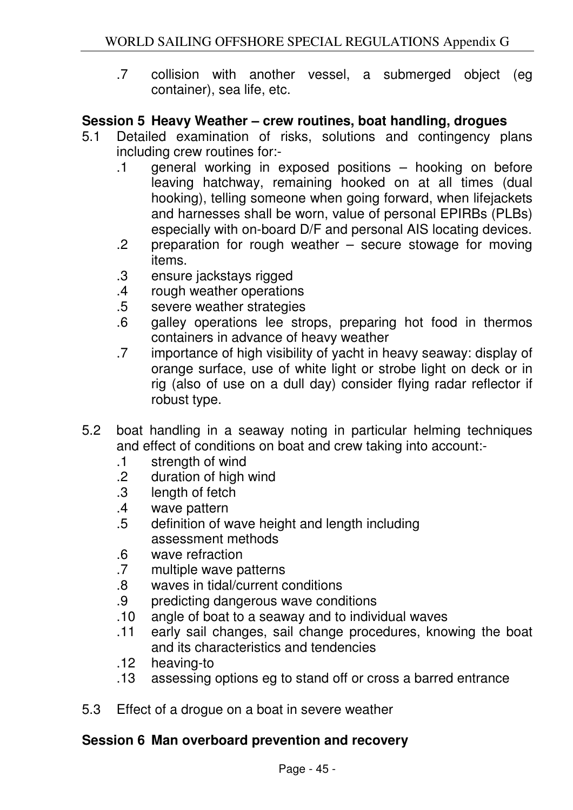.7 collision with another vessel, a submerged object (eg container), sea life, etc.

#### **Session 5 Heavy Weather – crew routines, boat handling, drogues**

- 5.1 Detailed examination of risks, solutions and contingency plans including crew routines for:-
	- .1 general working in exposed positions hooking on before leaving hatchway, remaining hooked on at all times (dual hooking), telling someone when going forward, when lifejackets and harnesses shall be worn, value of personal EPIRBs (PLBs) especially with on-board D/F and personal AIS locating devices.
	- .2 preparation for rough weather secure stowage for moving items.
	- .3 ensure jackstays rigged
	- .4 rough weather operations
	- .5 severe weather strategies
	- .6 galley operations lee strops, preparing hot food in thermos containers in advance of heavy weather
	- .7 importance of high visibility of yacht in heavy seaway: display of orange surface, use of white light or strobe light on deck or in rig (also of use on a dull day) consider flying radar reflector if robust type.
- 5.2 boat handling in a seaway noting in particular helming techniques and effect of conditions on boat and crew taking into account:-
	- .1 strength of wind
	- .2 duration of high wind
	- .3 length of fetch
	- .4 wave pattern
	- .5 definition of wave height and length including assessment methods
	- .6 wave refraction
	- .7 multiple wave patterns
	- .8 waves in tidal/current conditions
	- .9 predicting dangerous wave conditions
	- .10 angle of boat to a seaway and to individual waves
	- .11 early sail changes, sail change procedures, knowing the boat and its characteristics and tendencies
	- .12 heaving-to
	- .13 assessing options eg to stand off or cross a barred entrance
- 5.3 Effect of a drogue on a boat in severe weather

### **Session 6 Man overboard prevention and recovery**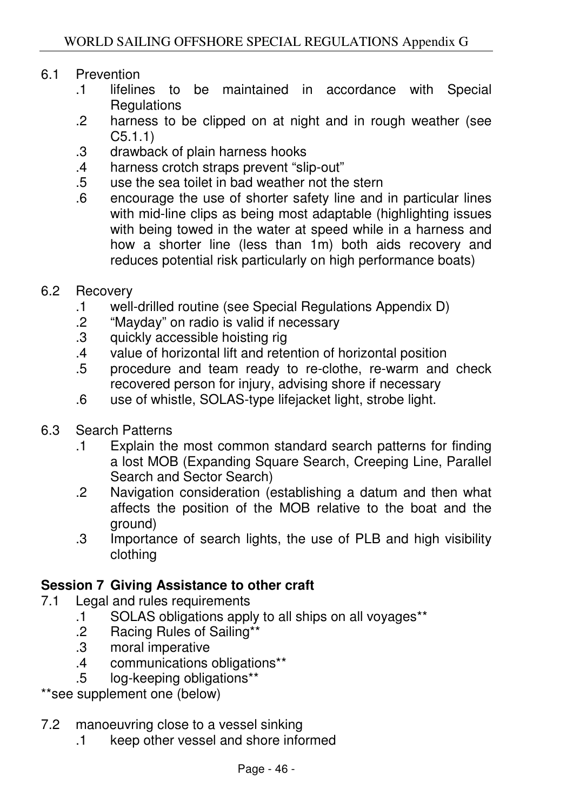### 6.1 Prevention

- .1 lifelines to be maintained in accordance with Special **Regulations**
- .2 harness to be clipped on at night and in rough weather (see C5.1.1)
- .3 drawback of plain harness hooks
- .4 harness crotch straps prevent "slip-out"
- .5 use the sea toilet in bad weather not the stern
- .6 encourage the use of shorter safety line and in particular lines with mid-line clips as being most adaptable (highlighting issues with being towed in the water at speed while in a harness and how a shorter line (less than 1m) both aids recovery and reduces potential risk particularly on high performance boats)
- 6.2 Recovery
	- .1 well-drilled routine (see Special Regulations Appendix D)
	- .2 "Mayday" on radio is valid if necessary
	- .3 quickly accessible hoisting rig
	- .4 value of horizontal lift and retention of horizontal position
	- .5 procedure and team ready to re-clothe, re-warm and check recovered person for injury, advising shore if necessary
	- .6 use of whistle, SOLAS-type lifejacket light, strobe light.
- 6.3 Search Patterns
	- .1 Explain the most common standard search patterns for finding a lost MOB (Expanding Square Search, Creeping Line, Parallel Search and Sector Search)
	- .2 Navigation consideration (establishing a datum and then what affects the position of the MOB relative to the boat and the ground)
	- .3 Importance of search lights, the use of PLB and high visibility clothing

#### **Session 7 Giving Assistance to other craft**

- 7.1 Legal and rules requirements
	- .1 SOLAS obligations apply to all ships on all voyages\*\*
	- .2 Racing Rules of Sailing\*\*
	- .3 moral imperative
	- .4 communications obligations\*\*
	- .5 log-keeping obligations\*\*

\*\*see supplement one (below)

- 7.2 manoeuvring close to a vessel sinking
	- .1 keep other vessel and shore informed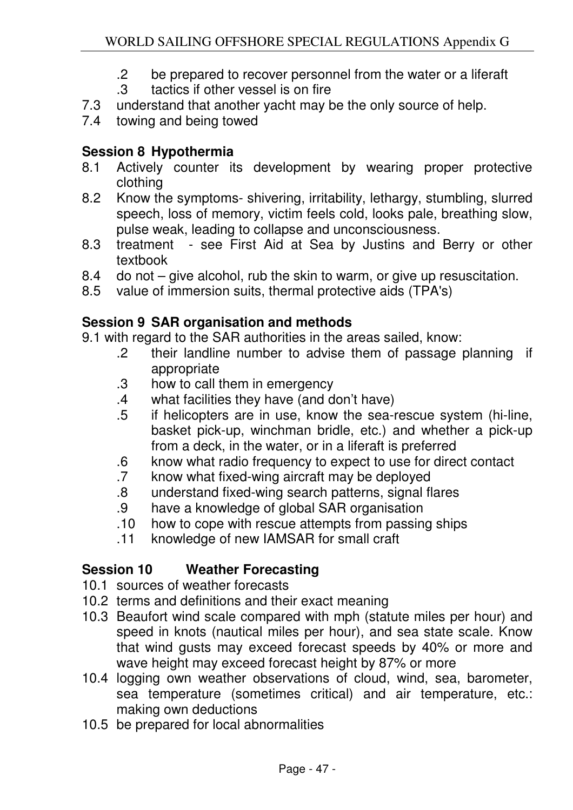- .2 be prepared to recover personnel from the water or a liferaft
- .3 tactics if other vessel is on fire
- 7.3 understand that another yacht may be the only source of help.
- 7.4 towing and being towed

# **Session 8 Hypothermia**

- 8.1 Actively counter its development by wearing proper protective clothing
- 8.2 Know the symptoms- shivering, irritability, lethargy, stumbling, slurred speech, loss of memory, victim feels cold, looks pale, breathing slow, pulse weak, leading to collapse and unconsciousness.
- 8.3 treatment see First Aid at Sea by Justins and Berry or other textbook
- 8.4 do not give alcohol, rub the skin to warm, or give up resuscitation.
- 8.5 value of immersion suits, thermal protective aids (TPA's)

# **Session 9 SAR organisation and methods**

9.1 with regard to the SAR authorities in the areas sailed, know:

- .2 their landline number to advise them of passage planning if appropriate
- .3 how to call them in emergency
- .4 what facilities they have (and don't have)
- .5 if helicopters are in use, know the sea-rescue system (hi-line, basket pick-up, winchman bridle, etc.) and whether a pick-up from a deck, in the water, or in a liferaft is preferred
- .6 know what radio frequency to expect to use for direct contact
- .7 know what fixed-wing aircraft may be deployed
- .8 understand fixed-wing search patterns, signal flares
- .9 have a knowledge of global SAR organisation
- .10 how to cope with rescue attempts from passing ships
- .11 knowledge of new IAMSAR for small craft

### **Session 10 Weather Forecasting**

- 10.1 sources of weather forecasts
- 10.2 terms and definitions and their exact meaning
- 10.3 Beaufort wind scale compared with mph (statute miles per hour) and speed in knots (nautical miles per hour), and sea state scale. Know that wind gusts may exceed forecast speeds by 40% or more and wave height may exceed forecast height by 87% or more
- 10.4 logging own weather observations of cloud, wind, sea, barometer, sea temperature (sometimes critical) and air temperature, etc.: making own deductions
- 10.5 be prepared for local abnormalities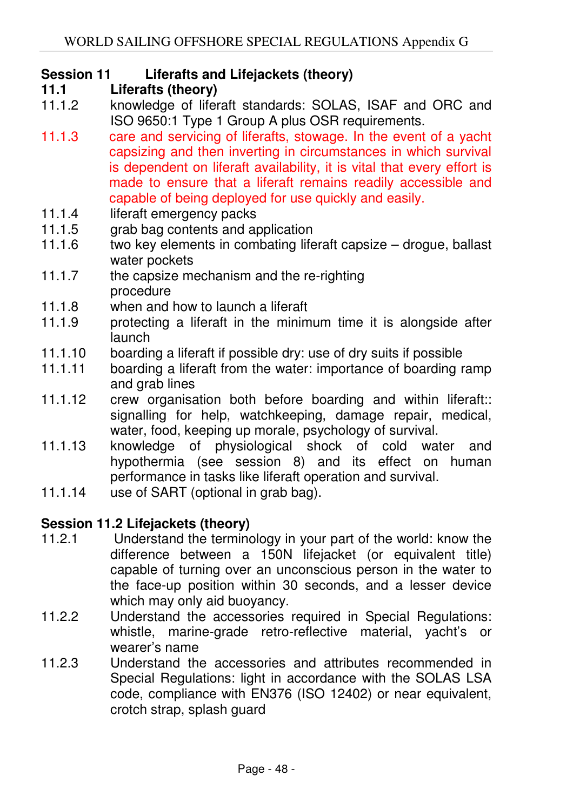### **Session 11 Liferafts and Lifejackets (theory)**

- **11.1 Liferafts (theory)**
- 11.1.2 knowledge of liferaft standards: SOLAS, ISAF and ORC and ISO 9650:1 Type 1 Group A plus OSR requirements.
- 11.1.3 care and servicing of liferafts, stowage. In the event of a yacht capsizing and then inverting in circumstances in which survival is dependent on liferaft availability, it is vital that every effort is made to ensure that a liferaft remains readily accessible and capable of being deployed for use quickly and easily.
- 11.1.4 liferaft emergency packs
- 11.1.5 arab bag contents and application
- 11.1.6 two key elements in combating liferaft capsize drogue, ballast water pockets
- 11.1.7 the capsize mechanism and the re-righting procedure
- 11.1.8 when and how to launch a liferaft
- 11.1.9 protecting a liferaft in the minimum time it is alongside after launch
- 11.1.10 boarding a liferaft if possible dry: use of dry suits if possible
- 11.1.11 boarding a liferaft from the water: importance of boarding ramp and grab lines
- 11.1.12 crew organisation both before boarding and within liferaft:: signalling for help, watchkeeping, damage repair, medical, water, food, keeping up morale, psychology of survival.
- 11.1.13 knowledge of physiological shock of cold water and hypothermia (see session 8) and its effect on human performance in tasks like liferaft operation and survival.
- 11.1.14 use of SART (optional in grab bag).

#### **Session 11.2 Lifejackets (theory)**

- 11.2.1 Understand the terminology in your part of the world: know the difference between a 150N lifejacket (or equivalent title) capable of turning over an unconscious person in the water to the face-up position within 30 seconds, and a lesser device which may only aid buoyancy.
- 11.2.2 Understand the accessories required in Special Regulations: whistle, marine-grade retro-reflective material, yacht's or wearer's name
- 11.2.3 Understand the accessories and attributes recommended in Special Regulations: light in accordance with the SOLAS LSA code, compliance with EN376 (ISO 12402) or near equivalent, crotch strap, splash guard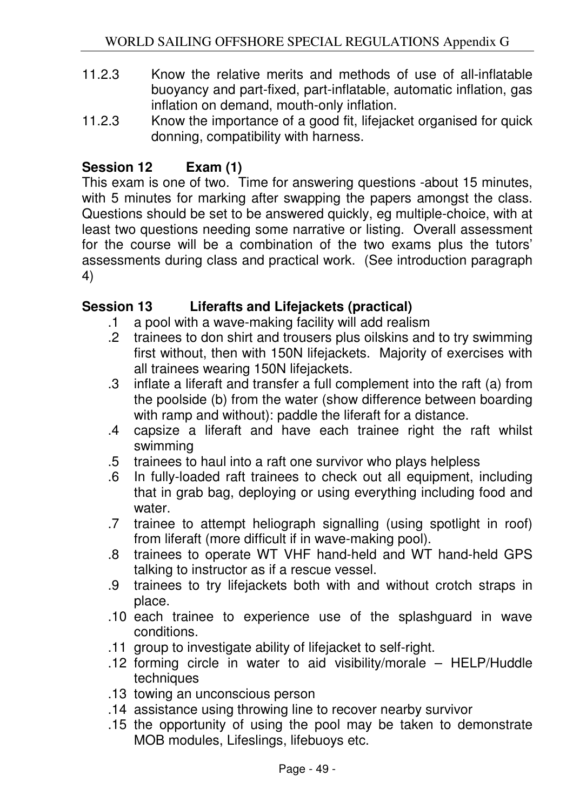- 11.2.3 Know the relative merits and methods of use of all-inflatable buoyancy and part-fixed, part-inflatable, automatic inflation, gas inflation on demand, mouth-only inflation.
- 11.2.3 Know the importance of a good fit, lifejacket organised for quick donning, compatibility with harness.

# **Session 12 Exam (1)**

This exam is one of two. Time for answering questions -about 15 minutes, with 5 minutes for marking after swapping the papers amongst the class. Questions should be set to be answered quickly, eg multiple-choice, with at least two questions needing some narrative or listing. Overall assessment for the course will be a combination of the two exams plus the tutors' assessments during class and practical work. (See introduction paragraph 4)

### **Session 13 Liferafts and Lifejackets (practical)**

- .1 a pool with a wave-making facility will add realism
- .2 trainees to don shirt and trousers plus oilskins and to try swimming first without, then with 150N lifejackets. Majority of exercises with all trainees wearing 150N lifejackets.
- .3 inflate a liferaft and transfer a full complement into the raft (a) from the poolside (b) from the water (show difference between boarding with ramp and without): paddle the liferaft for a distance.
- .4 capsize a liferaft and have each trainee right the raft whilst swimming
- .5 trainees to haul into a raft one survivor who plays helpless
- .6 In fully-loaded raft trainees to check out all equipment, including that in grab bag, deploying or using everything including food and water.
- .7 trainee to attempt heliograph signalling (using spotlight in roof) from liferaft (more difficult if in wave-making pool).
- .8 trainees to operate WT VHF hand-held and WT hand-held GPS talking to instructor as if a rescue vessel.
- .9 trainees to try lifejackets both with and without crotch straps in place.
- .10 each trainee to experience use of the splashguard in wave conditions.
- .11 group to investigate ability of lifejacket to self-right.
- .12 forming circle in water to aid visibility/morale HELP/Huddle techniques
- .13 towing an unconscious person
- .14 assistance using throwing line to recover nearby survivor
- .15 the opportunity of using the pool may be taken to demonstrate MOB modules, Lifeslings, lifebuoys etc.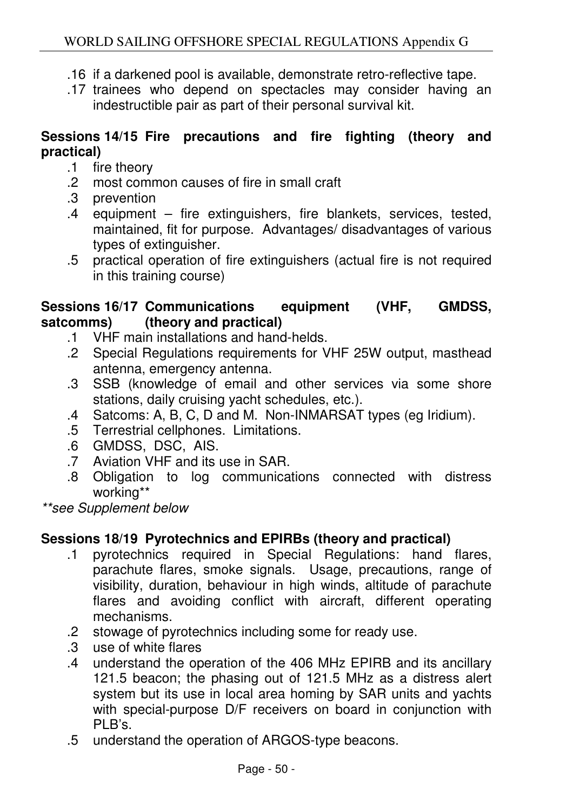- .16 if a darkened pool is available, demonstrate retro-reflective tape.
- .17 trainees who depend on spectacles may consider having an indestructible pair as part of their personal survival kit.

### **Sessions 14/15 Fire precautions and fire fighting (theory and practical)**

- .1 fire theory
- .2 most common causes of fire in small craft
- .3 prevention
- .4 equipment fire extinguishers, fire blankets, services, tested, maintained, fit for purpose. Advantages/ disadvantages of various types of extinguisher.
- .5 practical operation of fire extinguishers (actual fire is not required in this training course)

### **Sessions 16/17 Communications equipment (VHF, GMDSS, satcomms) (theory and practical)**

- .1 VHF main installations and hand-helds.
- .2 Special Regulations requirements for VHF 25W output, masthead antenna, emergency antenna.
- .3 SSB (knowledge of email and other services via some shore stations, daily cruising yacht schedules, etc.).
- .4 Satcoms: A, B, C, D and M. Non-INMARSAT types (eg Iridium).
- .5 Terrestrial cellphones. Limitations.
- .6 GMDSS, DSC, AIS.
- .7 Aviation VHF and its use in SAR.
- .8 Obligation to log communications connected with distress working\*\*

\*\*see Supplement below

# **Sessions 18/19 Pyrotechnics and EPIRBs (theory and practical)**

- .1 pyrotechnics required in Special Regulations: hand flares, parachute flares, smoke signals. Usage, precautions, range of visibility, duration, behaviour in high winds, altitude of parachute flares and avoiding conflict with aircraft, different operating mechanisms.
- .2 stowage of pyrotechnics including some for ready use.
- .3 use of white flares
- .4 understand the operation of the 406 MHz EPIRB and its ancillary 121.5 beacon; the phasing out of 121.5 MHz as a distress alert system but its use in local area homing by SAR units and yachts with special-purpose D/F receivers on board in conjunction with PLB's.
- .5 understand the operation of ARGOS-type beacons.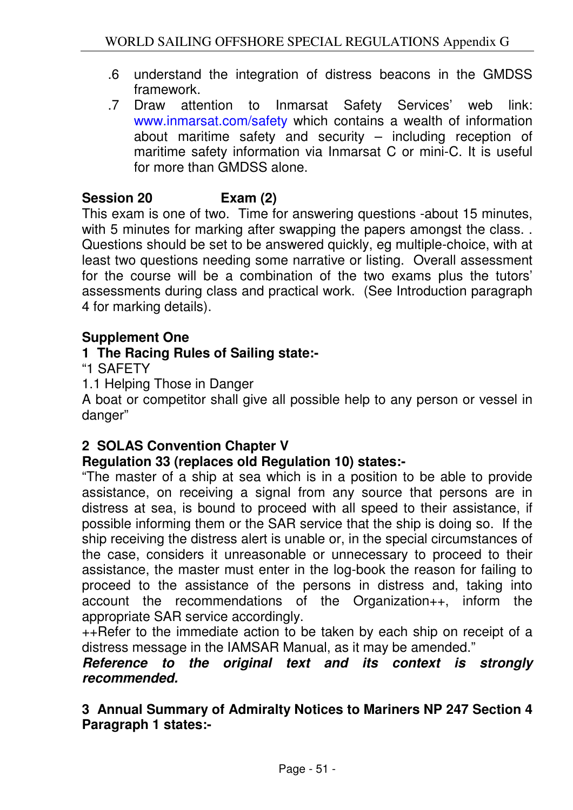- .6 understand the integration of distress beacons in the GMDSS framework.
- .7 Draw attention to Inmarsat Safety Services' web link: www.inmarsat.com/safety which contains a wealth of information about maritime safety and security – including reception of maritime safety information via Inmarsat C or mini-C. It is useful for more than GMDSS alone.

# **Session 20 Exam (2)**

This exam is one of two. Time for answering questions -about 15 minutes, with 5 minutes for marking after swapping the papers amongst the class... Questions should be set to be answered quickly, eg multiple-choice, with at least two questions needing some narrative or listing. Overall assessment for the course will be a combination of the two exams plus the tutors' assessments during class and practical work. (See Introduction paragraph 4 for marking details).

### **Supplement One**

### **1 The Racing Rules of Sailing state:-**

"1 SAFETY

1.1 Helping Those in Danger

A boat or competitor shall give all possible help to any person or vessel in danger"

### **2 SOLAS Convention Chapter V**

### **Regulation 33 (replaces old Regulation 10) states:-**

"The master of a ship at sea which is in a position to be able to provide assistance, on receiving a signal from any source that persons are in distress at sea, is bound to proceed with all speed to their assistance, if possible informing them or the SAR service that the ship is doing so. If the ship receiving the distress alert is unable or, in the special circumstances of the case, considers it unreasonable or unnecessary to proceed to their assistance, the master must enter in the log-book the reason for failing to proceed to the assistance of the persons in distress and, taking into account the recommendations of the Organization++, inform the appropriate SAR service accordingly.

++Refer to the immediate action to be taken by each ship on receipt of a distress message in the IAMSAR Manual, as it may be amended."

#### **Reference to the original text and its context is strongly recommended.**

**3 Annual Summary of Admiralty Notices to Mariners NP 247 Section 4 Paragraph 1 states:-**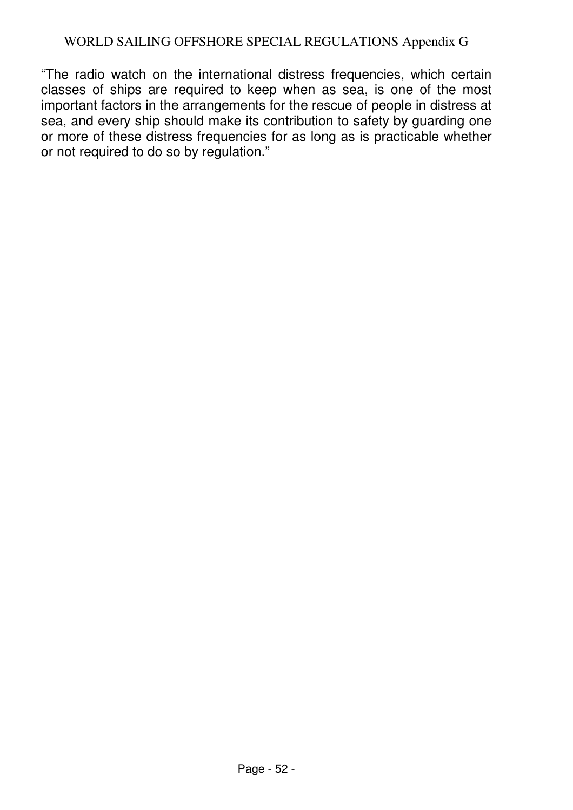"The radio watch on the international distress frequencies, which certain classes of ships are required to keep when as sea, is one of the most important factors in the arrangements for the rescue of people in distress at sea, and every ship should make its contribution to safety by guarding one or more of these distress frequencies for as long as is practicable whether or not required to do so by regulation."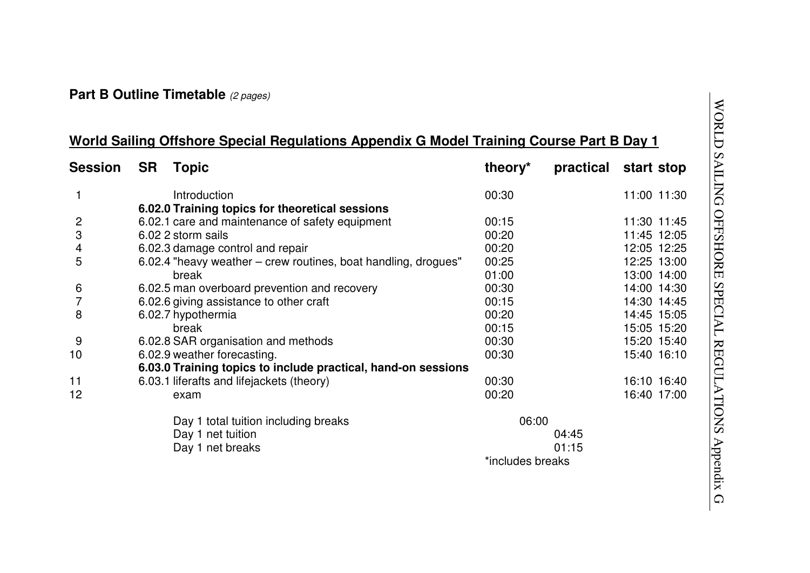#### **Part B Outline Timetable** (2 pages)

# **World Sailing Offshore Special Regulations Appendix G Model Training Course Part B Day 1**

| <b>Session</b> | <b>SR</b>                                                     | <b>Topic</b>                                                   | theory*          | practical | start stop  |             |
|----------------|---------------------------------------------------------------|----------------------------------------------------------------|------------------|-----------|-------------|-------------|
|                |                                                               | Introduction                                                   | 00:30            |           |             | 11:00 11:30 |
|                | 6.02.0 Training topics for theoretical sessions               |                                                                |                  |           |             |             |
| 2              |                                                               | 6.02.1 care and maintenance of safety equipment                | 00:15            |           |             | 11:30 11:45 |
| 3              |                                                               | 6.02 2 storm sails                                             | 00:20            |           | 11:45 12:05 |             |
| 4              |                                                               | 6.02.3 damage control and repair                               | 00:20            |           |             | 12:05 12:25 |
| 5              |                                                               | 6.02.4 "heavy weather – crew routines, boat handling, drogues" | 00:25            |           |             | 12:25 13:00 |
|                |                                                               | break                                                          | 01:00            |           |             | 13:00 14:00 |
| 6              |                                                               | 6.02.5 man overboard prevention and recovery                   | 00:30            |           |             | 14:00 14:30 |
| 7              |                                                               | 6.02.6 giving assistance to other craft                        | 00:15            |           |             | 14:30 14:45 |
| 8              |                                                               | 6.02.7 hypothermia                                             | 00:20            |           |             | 14:45 15:05 |
|                |                                                               | break                                                          | 00:15            |           |             | 15:05 15:20 |
| 9              |                                                               | 6.02.8 SAR organisation and methods                            | 00:30            |           |             | 15:20 15:40 |
| 10             |                                                               | 6.02.9 weather forecasting.                                    | 00:30            |           |             | 15:40 16:10 |
|                | 6.03.0 Training topics to include practical, hand-on sessions |                                                                |                  |           |             |             |
| 11             |                                                               | 6.03.1 liferafts and lifejackets (theory)                      | 00:30            |           |             | 16:10 16:40 |
| 12             |                                                               | exam                                                           | 00:20            |           |             | 16:40 17:00 |
|                |                                                               | Day 1 total tuition including breaks                           | 06:00            |           |             |             |
|                |                                                               | Day 1 net tuition                                              |                  | 04:45     |             |             |
|                |                                                               | Day 1 net breaks                                               |                  | 01:15     |             |             |
|                |                                                               |                                                                | *includes breaks |           |             |             |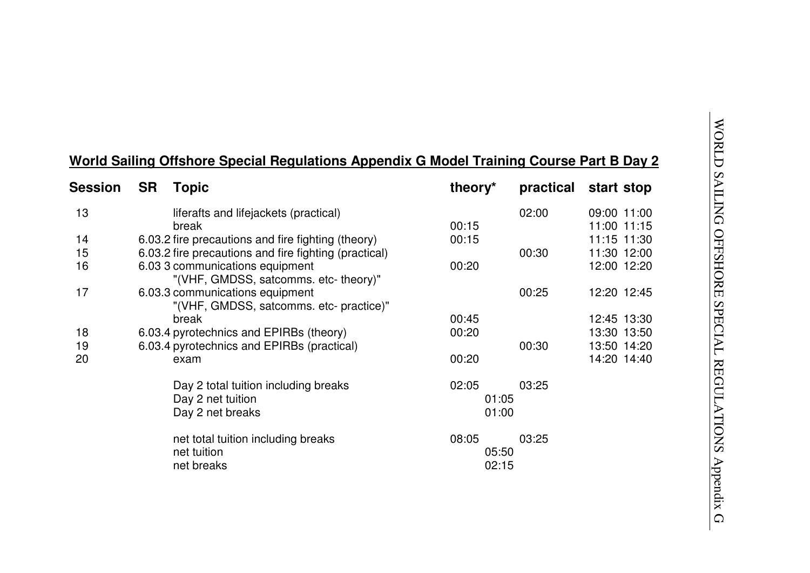| <b>Session</b> | <b>SR</b><br><b>Topic</b>                                                  | theory <sup>*</sup>     | practical | start stop                 |
|----------------|----------------------------------------------------------------------------|-------------------------|-----------|----------------------------|
| 13             | liferafts and lifejackets (practical)<br>break                             | 00:15                   | 02:00     | 09:00 11:00<br>11:00 11:15 |
| 14             | 6.03.2 fire precautions and fire fighting (theory)                         | 00:15                   |           | 11:15 11:30                |
| 15             | 6.03.2 fire precautions and fire fighting (practical)                      |                         | 00:30     | 11:30 12:00                |
| 16             | 6.03 3 communications equipment<br>"(VHF, GMDSS, satcomms. etc- theory)"   | 00:20                   |           | 12:00 12:20                |
| 17             | 6.03.3 communications equipment<br>"(VHF, GMDSS, satcomms. etc- practice)" |                         | 00:25     | 12:20 12:45                |
|                | break                                                                      | 00:45                   |           | 12:45 13:30                |
| 18             | 6.03.4 pyrotechnics and EPIRBs (theory)                                    | 00:20                   |           | 13:30 13:50                |
| 19             | 6.03.4 pyrotechnics and EPIRBs (practical)                                 |                         | 00:30     | 13:50 14:20                |
| 20             | exam                                                                       | 00:20                   |           | 14:20 14:40                |
|                | Day 2 total tuition including breaks                                       | 02:05                   | 03:25     |                            |
|                | Day 2 net tuition                                                          | 01:05                   |           |                            |
|                | Day 2 net breaks                                                           | 01:00                   |           |                            |
|                | net total tuition including breaks<br>net tuition<br>net breaks            | 08:05<br>05:50<br>02:15 | 03:25     |                            |

# **World Sailing Offshore Special Regulations Appendix G Model Training Course Part B Day 2**